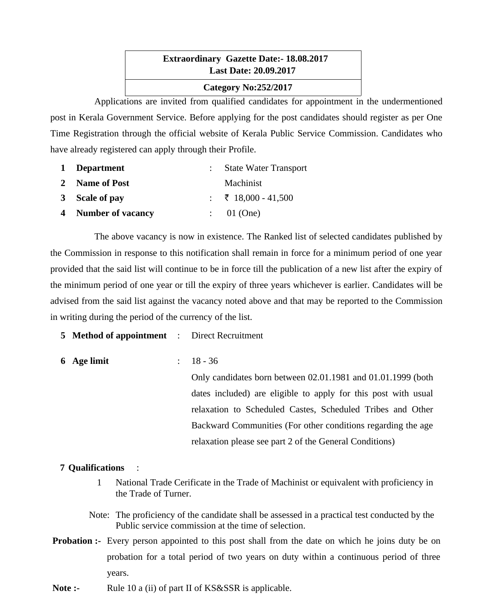# **Extraordinary Gazette Date:- 18.08.2017 Last Date: 20.09.2017 Category No:252/2017**

Applications are invited from qualified candidates for appointment in the undermentioned post in Kerala Government Service. Before applying for the post candidates should register as per One Time Registration through the official website of Kerala Public Service Commission. Candidates who have already registered can apply through their Profile.

| 1 Department        | <b>State Water Transport</b> |
|---------------------|------------------------------|
| 2 Name of Post      | Machinist                    |
| 3 Scale of pay      | : ₹ 18,000 - 41,500          |
| 4 Number of vacancy | : 01 (One)                   |

The above vacancy is now in existence. The Ranked list of selected candidates published by the Commission in response to this notification shall remain in force for a minimum period of one year provided that the said list will continue to be in force till the publication of a new list after the expiry of the minimum period of one year or till the expiry of three years whichever is earlier. Candidates will be advised from the said list against the vacancy noted above and that may be reported to the Commission in writing during the period of the currency of the list.

**5 Method of appointment** : Direct Recruitment

**6 Age limit** : 18 - 36

Only candidates born between 02.01.1981 and 01.01.1999 (both dates included) are eligible to apply for this post with usual relaxation to Scheduled Castes, Scheduled Tribes and Other Backward Communities (For other conditions regarding the age relaxation please see part 2 of the General Conditions)

# **7 Qualifications** :

- 1 National Trade Cerificate in the Trade of Machinist or equivalent with proficiency in the Trade of Turner.
- Note: The proficiency of the candidate shall be assessed in a practical test conducted by the Public service commission at the time of selection.
- **Probation :-** Every person appointed to this post shall from the date on which he joins duty be on probation for a total period of two years on duty within a continuous period of three years.
- **Note :-** Rule 10 a (ii) of part II of KS&SSR is applicable.